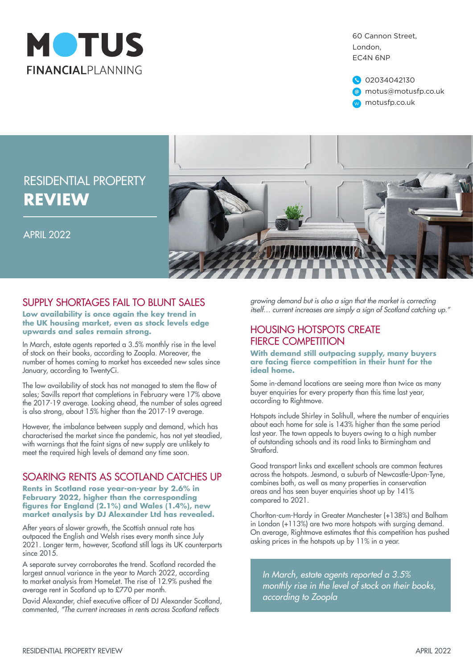

60 Cannon Street, London, EC4N 6NP



# RESIDENTIAL PROPERTY **REVIEW**

APRIL 2022



### SUPPLY SHORTAGES FAIL TO BILINT SALES

**Low availability is once again the key trend in the UK housing market, even as stock levels edge upwards and sales remain strong.**

In March, estate agents reported a 3.5% monthly rise in the level of stock on their books, according to Zoopla. Moreover, the number of homes coming to market has exceeded new sales since January, according to TwentyCi.

The low availability of stock has not managed to stem the flow of sales; Savills report that completions in February were 17% above the 2017-19 average. Looking ahead, the number of sales agreed is also strong, about 15% higher than the 2017-19 average.

However, the imbalance between supply and demand, which has characterised the market since the pandemic, has not yet steadied, with warnings that the faint signs of new supply are unlikely to meet the required high levels of demand any time soon.

## SOARING RENTS AS SCOTLAND CATCHES UP

**Rents in Scotland rose year-on-year by 2.6% in February 2022, higher than the corresponding figures for England (2.1%) and Wales (1.4%), new market analysis by DJ Alexander Ltd has revealed.**

After years of slower growth, the Scottish annual rate has outpaced the English and Welsh rises every month since July 2021. Longer term, however, Scotland still lags its UK counterparts since 2015.

A separate survey corroborates the trend. Scotland recorded the largest annual variance in the year to March 2022, according to market analysis from HomeLet. The rise of 12.9% pushed the average rent in Scotland up to £770 per month.

David Alexander, chief executive officer of DJ Alexander Scotland, commented, "The current increases in rents across Scotland reflects

*growing demand but is also a sign that the market is correcting itself… current increases are simply a sign of Scotland catching up."*

#### HOUSING HOTSPOTS CREATE FIERCE COMPETITION

**With demand still outpacing supply, many buyers are facing fierce competition in their hunt for the ideal home.** 

Some in-demand locations are seeing more than twice as many buyer enquiries for every property than this time last year, according to Rightmove.

Hotspots include Shirley in Solihull, where the number of enquiries about each home for sale is 143% higher than the same period last year. The town appeals to buyers owing to a high number of outstanding schools and its road links to Birmingham and Stratford.

Good transport links and excellent schools are common features across the hotspots. Jesmond, a suburb of Newcastle-Upon-Tyne, combines both, as well as many properties in conservation areas and has seen buyer enquiries shoot up by 141% compared to 2021.

Chorlton-cum-Hardy in Greater Manchester (+138%) and Balham in London (+113%) are two more hotspots with surging demand. On average, Rightmove estimates that this competition has pushed asking prices in the hotspots up by 11% in a year.

*In March, estate agents reported a 3.5% monthly rise in the level of stock on their books, according to Zoopla*